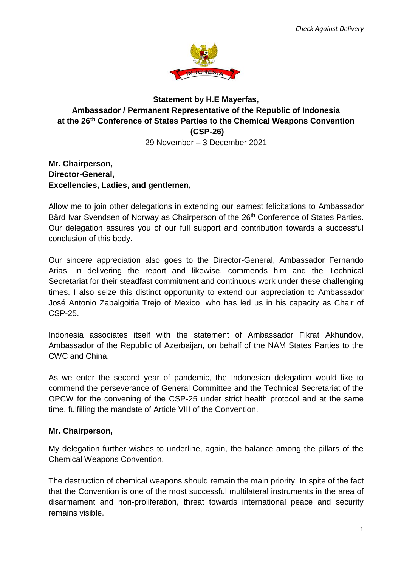

## **Statement by H.E Mayerfas, Ambassador / Permanent Representative of the Republic of Indonesia at the 26 th Conference of States Parties to the Chemical Weapons Convention (CSP-26)** 29 November – 3 December 2021

## **Mr. Chairperson, Director-General, Excellencies, Ladies, and gentlemen,**

Allow me to join other delegations in extending our earnest felicitations to Ambassador Bård Ivar Svendsen of Norway as Chairperson of the 26<sup>th</sup> Conference of States Parties. Our delegation assures you of our full support and contribution towards a successful conclusion of this body.

Our sincere appreciation also goes to the Director-General, Ambassador Fernando Arias, in delivering the report and likewise, commends him and the Technical Secretariat for their steadfast commitment and continuous work under these challenging times. I also seize this distinct opportunity to extend our appreciation to Ambassador José Antonio Zabalgoitia Trejo of Mexico, who has led us in his capacity as Chair of CSP-25.

Indonesia associates itself with the statement of Ambassador Fikrat Akhundov, Ambassador of the Republic of Azerbaijan, on behalf of the NAM States Parties to the CWC and China.

As we enter the second year of pandemic, the Indonesian delegation would like to commend the perseverance of General Committee and the Technical Secretariat of the OPCW for the convening of the CSP-25 under strict health protocol and at the same time, fulfilling the mandate of Article VIII of the Convention.

## **Mr. Chairperson,**

My delegation further wishes to underline, again, the balance among the pillars of the Chemical Weapons Convention.

The destruction of chemical weapons should remain the main priority. In spite of the fact that the Convention is one of the most successful multilateral instruments in the area of disarmament and non-proliferation, threat towards international peace and security remains visible.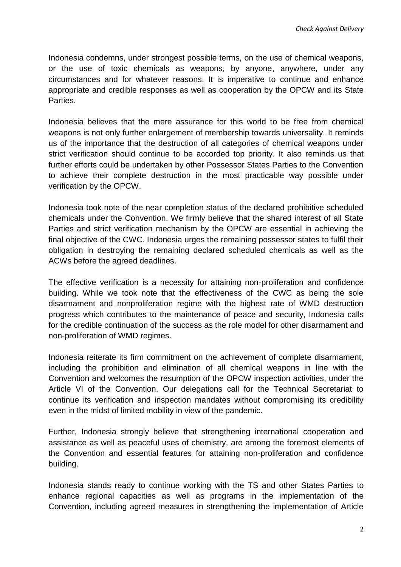Indonesia condemns, under strongest possible terms, on the use of chemical weapons, or the use of toxic chemicals as weapons, by anyone, anywhere, under any circumstances and for whatever reasons. It is imperative to continue and enhance appropriate and credible responses as well as cooperation by the OPCW and its State Parties.

Indonesia believes that the mere assurance for this world to be free from chemical weapons is not only further enlargement of membership towards universality. It reminds us of the importance that the destruction of all categories of chemical weapons under strict verification should continue to be accorded top priority. It also reminds us that further efforts could be undertaken by other Possessor States Parties to the Convention to achieve their complete destruction in the most practicable way possible under verification by the OPCW.

Indonesia took note of the near completion status of the declared prohibitive scheduled chemicals under the Convention. We firmly believe that the shared interest of all State Parties and strict verification mechanism by the OPCW are essential in achieving the final objective of the CWC. Indonesia urges the remaining possessor states to fulfil their obligation in destroying the remaining declared scheduled chemicals as well as the ACWs before the agreed deadlines.

The effective verification is a necessity for attaining non-proliferation and confidence building. While we took note that the effectiveness of the CWC as being the sole disarmament and nonproliferation regime with the highest rate of WMD destruction progress which contributes to the maintenance of peace and security, Indonesia calls for the credible continuation of the success as the role model for other disarmament and non-proliferation of WMD regimes.

Indonesia reiterate its firm commitment on the achievement of complete disarmament, including the prohibition and elimination of all chemical weapons in line with the Convention and welcomes the resumption of the OPCW inspection activities, under the Article VI of the Convention. Our delegations call for the Technical Secretariat to continue its verification and inspection mandates without compromising its credibility even in the midst of limited mobility in view of the pandemic.

Further, Indonesia strongly believe that strengthening international cooperation and assistance as well as peaceful uses of chemistry, are among the foremost elements of the Convention and essential features for attaining non-proliferation and confidence building.

Indonesia stands ready to continue working with the TS and other States Parties to enhance regional capacities as well as programs in the implementation of the Convention, including agreed measures in strengthening the implementation of Article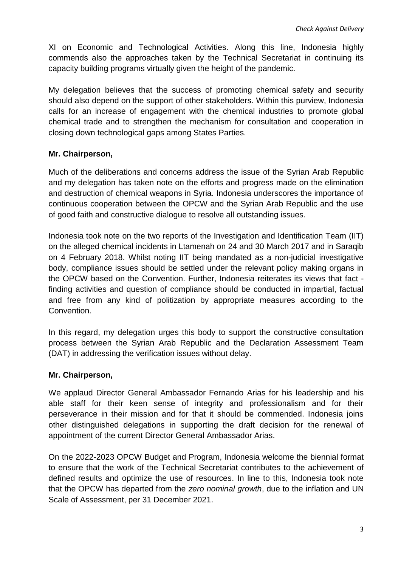XI on Economic and Technological Activities. Along this line, Indonesia highly commends also the approaches taken by the Technical Secretariat in continuing its capacity building programs virtually given the height of the pandemic.

My delegation believes that the success of promoting chemical safety and security should also depend on the support of other stakeholders. Within this purview, Indonesia calls for an increase of engagement with the chemical industries to promote global chemical trade and to strengthen the mechanism for consultation and cooperation in closing down technological gaps among States Parties.

### **Mr. Chairperson,**

Much of the deliberations and concerns address the issue of the Syrian Arab Republic and my delegation has taken note on the efforts and progress made on the elimination and destruction of chemical weapons in Syria. Indonesia underscores the importance of continuous cooperation between the OPCW and the Syrian Arab Republic and the use of good faith and constructive dialogue to resolve all outstanding issues.

Indonesia took note on the two reports of the Investigation and Identification Team (IIT) on the alleged chemical incidents in Ltamenah on 24 and 30 March 2017 and in Saraqib on 4 February 2018. Whilst noting IIT being mandated as a non-judicial investigative body, compliance issues should be settled under the relevant policy making organs in the OPCW based on the Convention. Further, Indonesia reiterates its views that fact finding activities and question of compliance should be conducted in impartial, factual and free from any kind of politization by appropriate measures according to the Convention.

In this regard, my delegation urges this body to support the constructive consultation process between the Syrian Arab Republic and the Declaration Assessment Team (DAT) in addressing the verification issues without delay.

#### **Mr. Chairperson,**

We applaud Director General Ambassador Fernando Arias for his leadership and his able staff for their keen sense of integrity and professionalism and for their perseverance in their mission and for that it should be commended. Indonesia joins other distinguished delegations in supporting the draft decision for the renewal of appointment of the current Director General Ambassador Arias.

On the 2022-2023 OPCW Budget and Program, Indonesia welcome the biennial format to ensure that the work of the Technical Secretariat contributes to the achievement of defined results and optimize the use of resources. In line to this, Indonesia took note that the OPCW has departed from the *zero nominal growth*, due to the inflation and UN Scale of Assessment, per 31 December 2021.